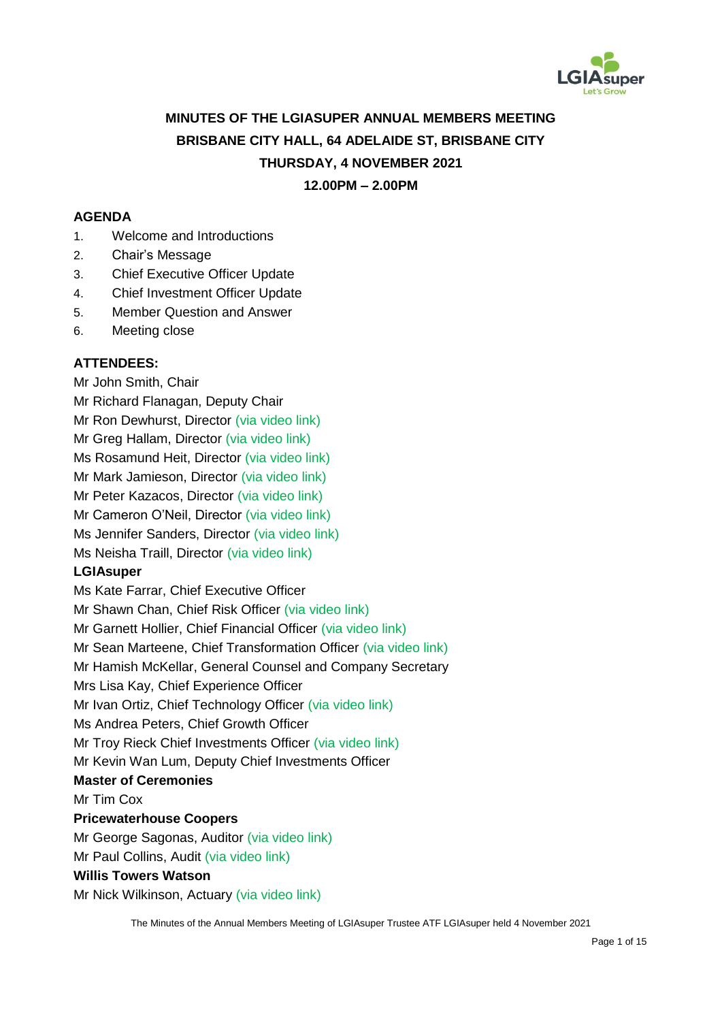

# **MINUTES OF THE LGIASUPER ANNUAL MEMBERS MEETING BRISBANE CITY HALL, 64 ADELAIDE ST, BRISBANE CITY THURSDAY, 4 NOVEMBER 2021**

# **12.00PM – 2.00PM**

#### **AGENDA**

- 1. Welcome and Introductions
- 2. Chair's Message
- 3. Chief Executive Officer Update
- 4. Chief Investment Officer Update
- 5. Member Question and Answer
- 6. Meeting close

#### **ATTENDEES:**

Mr John Smith, Chair Mr Richard Flanagan, Deputy Chair Mr Ron Dewhurst, Director (via video link) Mr Greg Hallam, Director (via video link) Ms Rosamund Heit, Director (via video link) Mr Mark Jamieson, Director (via video link) Mr Peter Kazacos, Director (via video link) Mr Cameron O'Neil, Director (via video link) Ms Jennifer Sanders, Director (via video link) Ms Neisha Traill, Director (via video link)

### **LGIAsuper**

Ms Kate Farrar, Chief Executive Officer Mr Shawn Chan, Chief Risk Officer (via video link) Mr Garnett Hollier, Chief Financial Officer (via video link) Mr Sean Marteene, Chief Transformation Officer (via video link) Mr Hamish McKellar, General Counsel and Company Secretary Mrs Lisa Kay, Chief Experience Officer Mr Ivan Ortiz, Chief Technology Officer (via video link) Ms Andrea Peters, Chief Growth Officer Mr Troy Rieck Chief Investments Officer (via video link) Mr Kevin Wan Lum, Deputy Chief Investments Officer **Master of Ceremonies**

Mr Tim Cox

### **Pricewaterhouse Coopers**

Mr George Sagonas, Auditor (via video link)

Mr Paul Collins, Audit (via video link)

## **Willis Towers Watson**

Mr Nick Wilkinson, Actuary (via video link)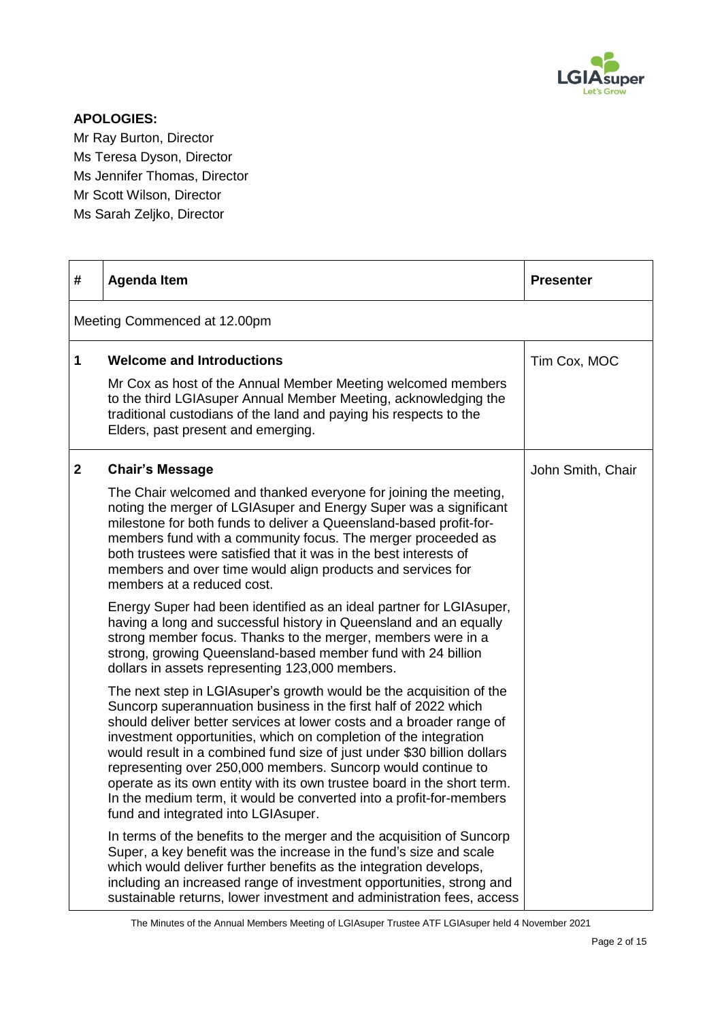

## **APOLOGIES:**

Mr Ray Burton, Director Ms Teresa Dyson, Director Ms Jennifer Thomas, Director Mr Scott Wilson, Director Ms Sarah Zeljko, Director

| #            | <b>Agenda Item</b>                                                                                                                                                                                                                                                                                                                                                                                                                                                                                                                                                                                                     | <b>Presenter</b>  |
|--------------|------------------------------------------------------------------------------------------------------------------------------------------------------------------------------------------------------------------------------------------------------------------------------------------------------------------------------------------------------------------------------------------------------------------------------------------------------------------------------------------------------------------------------------------------------------------------------------------------------------------------|-------------------|
|              | Meeting Commenced at 12.00pm                                                                                                                                                                                                                                                                                                                                                                                                                                                                                                                                                                                           |                   |
| 1            | <b>Welcome and Introductions</b>                                                                                                                                                                                                                                                                                                                                                                                                                                                                                                                                                                                       | Tim Cox, MOC      |
|              | Mr Cox as host of the Annual Member Meeting welcomed members<br>to the third LGIAsuper Annual Member Meeting, acknowledging the<br>traditional custodians of the land and paying his respects to the<br>Elders, past present and emerging.                                                                                                                                                                                                                                                                                                                                                                             |                   |
| $\mathbf{2}$ | <b>Chair's Message</b>                                                                                                                                                                                                                                                                                                                                                                                                                                                                                                                                                                                                 | John Smith, Chair |
|              | The Chair welcomed and thanked everyone for joining the meeting,<br>noting the merger of LGIAsuper and Energy Super was a significant<br>milestone for both funds to deliver a Queensland-based profit-for-<br>members fund with a community focus. The merger proceeded as<br>both trustees were satisfied that it was in the best interests of<br>members and over time would align products and services for<br>members at a reduced cost.                                                                                                                                                                          |                   |
|              | Energy Super had been identified as an ideal partner for LGIAsuper,<br>having a long and successful history in Queensland and an equally<br>strong member focus. Thanks to the merger, members were in a<br>strong, growing Queensland-based member fund with 24 billion<br>dollars in assets representing 123,000 members.                                                                                                                                                                                                                                                                                            |                   |
|              | The next step in LGIAsuper's growth would be the acquisition of the<br>Suncorp superannuation business in the first half of 2022 which<br>should deliver better services at lower costs and a broader range of<br>investment opportunities, which on completion of the integration<br>would result in a combined fund size of just under \$30 billion dollars<br>representing over 250,000 members. Suncorp would continue to<br>operate as its own entity with its own trustee board in the short term.<br>In the medium term, it would be converted into a profit-for-members<br>fund and integrated into LGIAsuper. |                   |
|              | In terms of the benefits to the merger and the acquisition of Suncorp<br>Super, a key benefit was the increase in the fund's size and scale<br>which would deliver further benefits as the integration develops,<br>including an increased range of investment opportunities, strong and<br>sustainable returns, lower investment and administration fees, access                                                                                                                                                                                                                                                      |                   |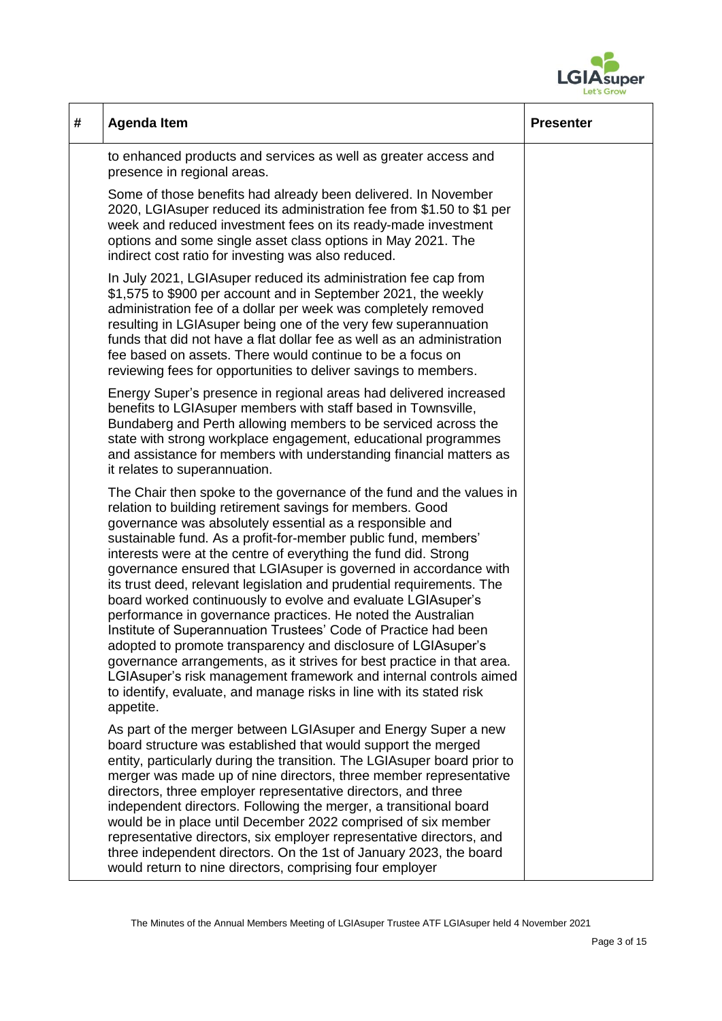

| # | <b>Agenda Item</b>                                                                                                                                                                                                                                                                                                                                                                                                                                                                                                                                                                                                                                                                                                                                                                                                                                                                                                                                                                      | <b>Presenter</b> |
|---|-----------------------------------------------------------------------------------------------------------------------------------------------------------------------------------------------------------------------------------------------------------------------------------------------------------------------------------------------------------------------------------------------------------------------------------------------------------------------------------------------------------------------------------------------------------------------------------------------------------------------------------------------------------------------------------------------------------------------------------------------------------------------------------------------------------------------------------------------------------------------------------------------------------------------------------------------------------------------------------------|------------------|
|   | to enhanced products and services as well as greater access and<br>presence in regional areas.                                                                                                                                                                                                                                                                                                                                                                                                                                                                                                                                                                                                                                                                                                                                                                                                                                                                                          |                  |
|   | Some of those benefits had already been delivered. In November<br>2020, LGIA super reduced its administration fee from \$1.50 to \$1 per<br>week and reduced investment fees on its ready-made investment<br>options and some single asset class options in May 2021. The<br>indirect cost ratio for investing was also reduced.                                                                                                                                                                                                                                                                                                                                                                                                                                                                                                                                                                                                                                                        |                  |
|   | In July 2021, LGIAsuper reduced its administration fee cap from<br>\$1,575 to \$900 per account and in September 2021, the weekly<br>administration fee of a dollar per week was completely removed<br>resulting in LGIAsuper being one of the very few superannuation<br>funds that did not have a flat dollar fee as well as an administration<br>fee based on assets. There would continue to be a focus on<br>reviewing fees for opportunities to deliver savings to members.                                                                                                                                                                                                                                                                                                                                                                                                                                                                                                       |                  |
|   | Energy Super's presence in regional areas had delivered increased<br>benefits to LGIAsuper members with staff based in Townsville,<br>Bundaberg and Perth allowing members to be serviced across the<br>state with strong workplace engagement, educational programmes<br>and assistance for members with understanding financial matters as<br>it relates to superannuation.                                                                                                                                                                                                                                                                                                                                                                                                                                                                                                                                                                                                           |                  |
|   | The Chair then spoke to the governance of the fund and the values in<br>relation to building retirement savings for members. Good<br>governance was absolutely essential as a responsible and<br>sustainable fund. As a profit-for-member public fund, members'<br>interests were at the centre of everything the fund did. Strong<br>governance ensured that LGIAsuper is governed in accordance with<br>its trust deed, relevant legislation and prudential requirements. The<br>board worked continuously to evolve and evaluate LGIAsuper's<br>performance in governance practices. He noted the Australian<br>Institute of Superannuation Trustees' Code of Practice had been<br>adopted to promote transparency and disclosure of LGIAsuper's<br>governance arrangements, as it strives for best practice in that area.<br>LGIAsuper's risk management framework and internal controls aimed<br>to identify, evaluate, and manage risks in line with its stated risk<br>appetite. |                  |
|   | As part of the merger between LGIA super and Energy Super a new<br>board structure was established that would support the merged<br>entity, particularly during the transition. The LGIA super board prior to<br>merger was made up of nine directors, three member representative<br>directors, three employer representative directors, and three<br>independent directors. Following the merger, a transitional board<br>would be in place until December 2022 comprised of six member<br>representative directors, six employer representative directors, and<br>three independent directors. On the 1st of January 2023, the board<br>would return to nine directors, comprising four employer                                                                                                                                                                                                                                                                                     |                  |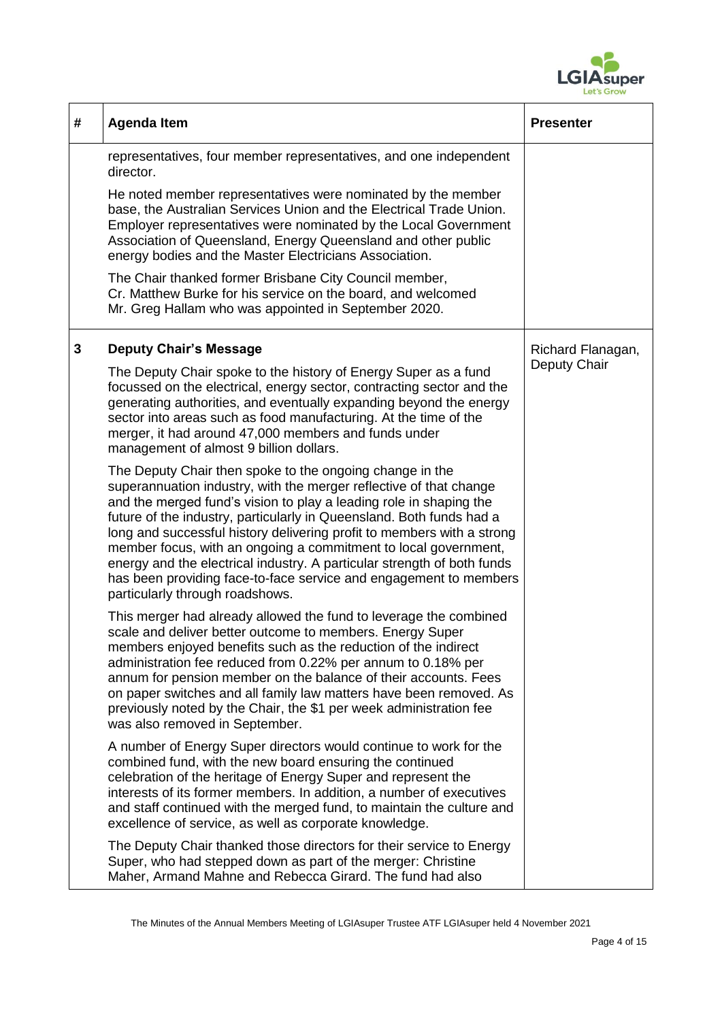

| # | <b>Agenda Item</b>                                                                                                                                                                                                                                                                                                                                                                                                                                                                                                                                                                                           | <b>Presenter</b>  |
|---|--------------------------------------------------------------------------------------------------------------------------------------------------------------------------------------------------------------------------------------------------------------------------------------------------------------------------------------------------------------------------------------------------------------------------------------------------------------------------------------------------------------------------------------------------------------------------------------------------------------|-------------------|
|   | representatives, four member representatives, and one independent<br>director.                                                                                                                                                                                                                                                                                                                                                                                                                                                                                                                               |                   |
|   | He noted member representatives were nominated by the member<br>base, the Australian Services Union and the Electrical Trade Union.<br>Employer representatives were nominated by the Local Government<br>Association of Queensland, Energy Queensland and other public<br>energy bodies and the Master Electricians Association.                                                                                                                                                                                                                                                                            |                   |
|   | The Chair thanked former Brisbane City Council member,<br>Cr. Matthew Burke for his service on the board, and welcomed<br>Mr. Greg Hallam who was appointed in September 2020.                                                                                                                                                                                                                                                                                                                                                                                                                               |                   |
| 3 | <b>Deputy Chair's Message</b>                                                                                                                                                                                                                                                                                                                                                                                                                                                                                                                                                                                | Richard Flanagan, |
|   | The Deputy Chair spoke to the history of Energy Super as a fund<br>focussed on the electrical, energy sector, contracting sector and the<br>generating authorities, and eventually expanding beyond the energy<br>sector into areas such as food manufacturing. At the time of the<br>merger, it had around 47,000 members and funds under<br>management of almost 9 billion dollars.                                                                                                                                                                                                                        | Deputy Chair      |
|   | The Deputy Chair then spoke to the ongoing change in the<br>superannuation industry, with the merger reflective of that change<br>and the merged fund's vision to play a leading role in shaping the<br>future of the industry, particularly in Queensland. Both funds had a<br>long and successful history delivering profit to members with a strong<br>member focus, with an ongoing a commitment to local government,<br>energy and the electrical industry. A particular strength of both funds<br>has been providing face-to-face service and engagement to members<br>particularly through roadshows. |                   |
|   | This merger had already allowed the fund to leverage the combined<br>scale and deliver better outcome to members. Energy Super<br>members enjoyed benefits such as the reduction of the indirect<br>administration fee reduced from 0.22% per annum to 0.18% per<br>annum for pension member on the balance of their accounts. Fees<br>on paper switches and all family law matters have been removed. As<br>previously noted by the Chair, the \$1 per week administration fee<br>was also removed in September.                                                                                            |                   |
|   | A number of Energy Super directors would continue to work for the<br>combined fund, with the new board ensuring the continued<br>celebration of the heritage of Energy Super and represent the<br>interests of its former members. In addition, a number of executives<br>and staff continued with the merged fund, to maintain the culture and<br>excellence of service, as well as corporate knowledge.                                                                                                                                                                                                    |                   |
|   | The Deputy Chair thanked those directors for their service to Energy<br>Super, who had stepped down as part of the merger: Christine<br>Maher, Armand Mahne and Rebecca Girard. The fund had also                                                                                                                                                                                                                                                                                                                                                                                                            |                   |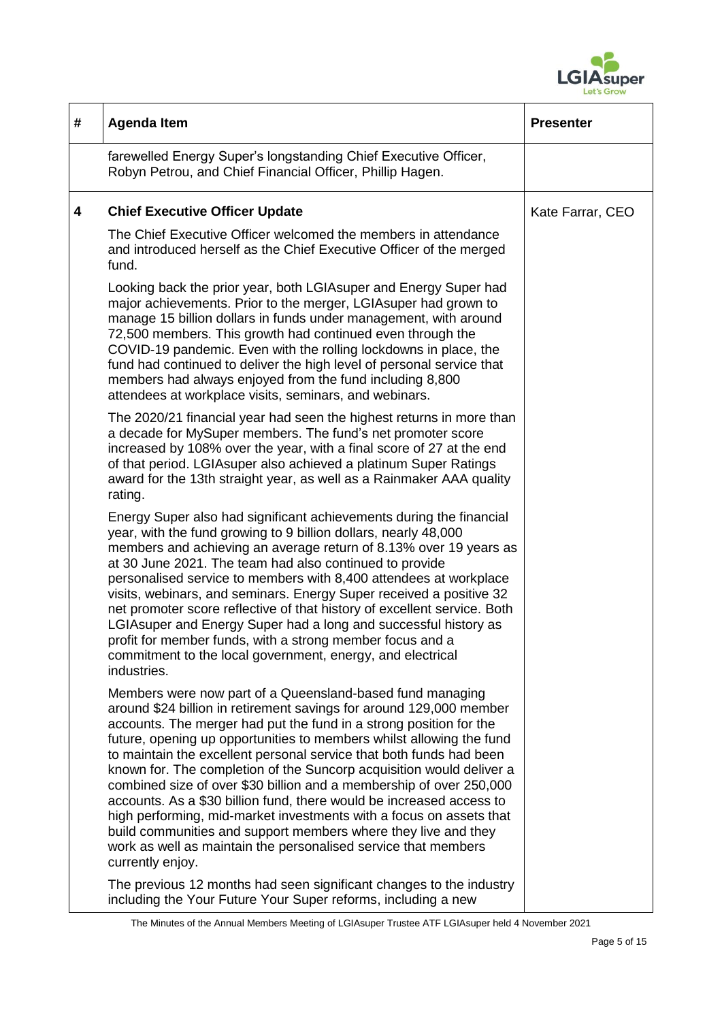

| # | <b>Agenda Item</b>                                                                                                                                                                                                                                                                                                                                                                                                                                                                                                                                                                                                                                                                                                                                                                                          | <b>Presenter</b> |
|---|-------------------------------------------------------------------------------------------------------------------------------------------------------------------------------------------------------------------------------------------------------------------------------------------------------------------------------------------------------------------------------------------------------------------------------------------------------------------------------------------------------------------------------------------------------------------------------------------------------------------------------------------------------------------------------------------------------------------------------------------------------------------------------------------------------------|------------------|
|   | farewelled Energy Super's longstanding Chief Executive Officer,<br>Robyn Petrou, and Chief Financial Officer, Phillip Hagen.                                                                                                                                                                                                                                                                                                                                                                                                                                                                                                                                                                                                                                                                                |                  |
| 4 | <b>Chief Executive Officer Update</b>                                                                                                                                                                                                                                                                                                                                                                                                                                                                                                                                                                                                                                                                                                                                                                       | Kate Farrar, CEO |
|   | The Chief Executive Officer welcomed the members in attendance<br>and introduced herself as the Chief Executive Officer of the merged<br>fund.                                                                                                                                                                                                                                                                                                                                                                                                                                                                                                                                                                                                                                                              |                  |
|   | Looking back the prior year, both LGIAsuper and Energy Super had<br>major achievements. Prior to the merger, LGIA super had grown to<br>manage 15 billion dollars in funds under management, with around<br>72,500 members. This growth had continued even through the<br>COVID-19 pandemic. Even with the rolling lockdowns in place, the<br>fund had continued to deliver the high level of personal service that<br>members had always enjoyed from the fund including 8,800<br>attendees at workplace visits, seminars, and webinars.                                                                                                                                                                                                                                                                   |                  |
|   | The 2020/21 financial year had seen the highest returns in more than<br>a decade for MySuper members. The fund's net promoter score<br>increased by 108% over the year, with a final score of 27 at the end<br>of that period. LGIAsuper also achieved a platinum Super Ratings<br>award for the 13th straight year, as well as a Rainmaker AAA quality<br>rating.                                                                                                                                                                                                                                                                                                                                                                                                                                          |                  |
|   | Energy Super also had significant achievements during the financial<br>year, with the fund growing to 9 billion dollars, nearly 48,000<br>members and achieving an average return of 8.13% over 19 years as<br>at 30 June 2021. The team had also continued to provide<br>personalised service to members with 8,400 attendees at workplace<br>visits, webinars, and seminars. Energy Super received a positive 32<br>net promoter score reflective of that history of excellent service. Both<br>LGIA super and Energy Super had a long and successful history as<br>profit for member funds, with a strong member focus and a<br>commitment to the local government, energy, and electrical<br>industries.                                                                                                |                  |
|   | Members were now part of a Queensland-based fund managing<br>around \$24 billion in retirement savings for around 129,000 member<br>accounts. The merger had put the fund in a strong position for the<br>future, opening up opportunities to members whilst allowing the fund<br>to maintain the excellent personal service that both funds had been<br>known for. The completion of the Suncorp acquisition would deliver a<br>combined size of over \$30 billion and a membership of over 250,000<br>accounts. As a \$30 billion fund, there would be increased access to<br>high performing, mid-market investments with a focus on assets that<br>build communities and support members where they live and they<br>work as well as maintain the personalised service that members<br>currently enjoy. |                  |
|   | The previous 12 months had seen significant changes to the industry<br>including the Your Future Your Super reforms, including a new                                                                                                                                                                                                                                                                                                                                                                                                                                                                                                                                                                                                                                                                        |                  |

The Minutes of the Annual Members Meeting of LGIAsuper Trustee ATF LGIAsuper held 4 November 2021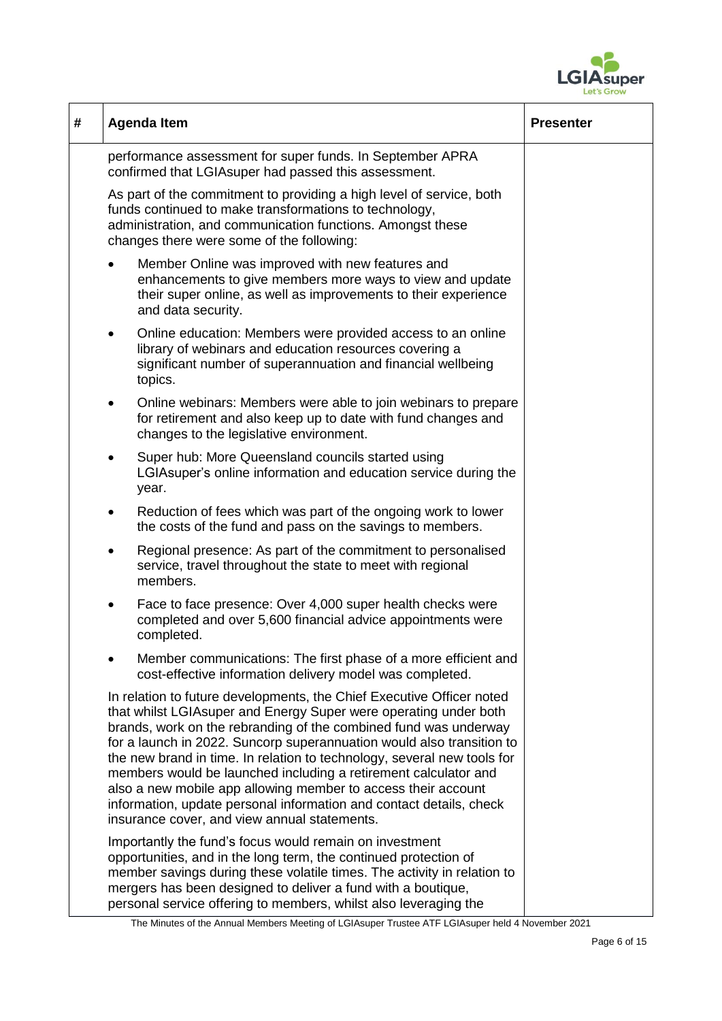

| # | <b>Agenda Item</b>                                                                                                                                                                                                                                                                                                                                                                                                                                                                                                                                                                                                            | <b>Presenter</b> |
|---|-------------------------------------------------------------------------------------------------------------------------------------------------------------------------------------------------------------------------------------------------------------------------------------------------------------------------------------------------------------------------------------------------------------------------------------------------------------------------------------------------------------------------------------------------------------------------------------------------------------------------------|------------------|
|   | performance assessment for super funds. In September APRA<br>confirmed that LGIAsuper had passed this assessment.                                                                                                                                                                                                                                                                                                                                                                                                                                                                                                             |                  |
|   | As part of the commitment to providing a high level of service, both<br>funds continued to make transformations to technology,<br>administration, and communication functions. Amongst these<br>changes there were some of the following:                                                                                                                                                                                                                                                                                                                                                                                     |                  |
|   | Member Online was improved with new features and<br>enhancements to give members more ways to view and update<br>their super online, as well as improvements to their experience<br>and data security.                                                                                                                                                                                                                                                                                                                                                                                                                        |                  |
|   | Online education: Members were provided access to an online<br>$\bullet$<br>library of webinars and education resources covering a<br>significant number of superannuation and financial wellbeing<br>topics.                                                                                                                                                                                                                                                                                                                                                                                                                 |                  |
|   | Online webinars: Members were able to join webinars to prepare<br>$\bullet$<br>for retirement and also keep up to date with fund changes and<br>changes to the legislative environment.                                                                                                                                                                                                                                                                                                                                                                                                                                       |                  |
|   | Super hub: More Queensland councils started using<br>٠<br>LGIA super's online information and education service during the<br>year.                                                                                                                                                                                                                                                                                                                                                                                                                                                                                           |                  |
|   | Reduction of fees which was part of the ongoing work to lower<br>$\bullet$<br>the costs of the fund and pass on the savings to members.                                                                                                                                                                                                                                                                                                                                                                                                                                                                                       |                  |
|   | Regional presence: As part of the commitment to personalised<br>٠<br>service, travel throughout the state to meet with regional<br>members.                                                                                                                                                                                                                                                                                                                                                                                                                                                                                   |                  |
|   | Face to face presence: Over 4,000 super health checks were<br>$\bullet$<br>completed and over 5,600 financial advice appointments were<br>completed.                                                                                                                                                                                                                                                                                                                                                                                                                                                                          |                  |
|   | Member communications: The first phase of a more efficient and<br>cost-effective information delivery model was completed.                                                                                                                                                                                                                                                                                                                                                                                                                                                                                                    |                  |
|   | In relation to future developments, the Chief Executive Officer noted<br>that whilst LGIA super and Energy Super were operating under both<br>brands, work on the rebranding of the combined fund was underway<br>for a launch in 2022. Suncorp superannuation would also transition to<br>the new brand in time. In relation to technology, several new tools for<br>members would be launched including a retirement calculator and<br>also a new mobile app allowing member to access their account<br>information, update personal information and contact details, check<br>insurance cover, and view annual statements. |                  |
|   | Importantly the fund's focus would remain on investment<br>opportunities, and in the long term, the continued protection of<br>member savings during these volatile times. The activity in relation to<br>mergers has been designed to deliver a fund with a boutique,<br>personal service offering to members, whilst also leveraging the                                                                                                                                                                                                                                                                                    |                  |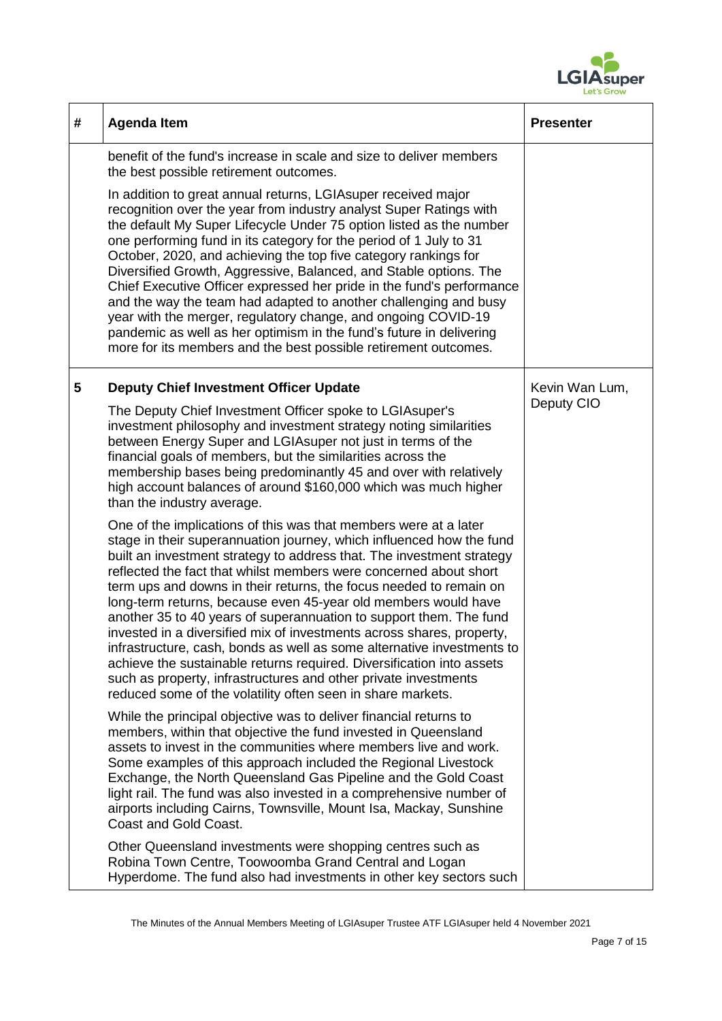

| # | <b>Agenda Item</b>                                                                                                                                                                                                                                                                                                                                                                                                                                                                                                                                                                                                                                                                                                                                                                                                                                                 | <b>Presenter</b>             |
|---|--------------------------------------------------------------------------------------------------------------------------------------------------------------------------------------------------------------------------------------------------------------------------------------------------------------------------------------------------------------------------------------------------------------------------------------------------------------------------------------------------------------------------------------------------------------------------------------------------------------------------------------------------------------------------------------------------------------------------------------------------------------------------------------------------------------------------------------------------------------------|------------------------------|
|   | benefit of the fund's increase in scale and size to deliver members<br>the best possible retirement outcomes.                                                                                                                                                                                                                                                                                                                                                                                                                                                                                                                                                                                                                                                                                                                                                      |                              |
|   | In addition to great annual returns, LGIA super received major<br>recognition over the year from industry analyst Super Ratings with<br>the default My Super Lifecycle Under 75 option listed as the number<br>one performing fund in its category for the period of 1 July to 31<br>October, 2020, and achieving the top five category rankings for<br>Diversified Growth, Aggressive, Balanced, and Stable options. The<br>Chief Executive Officer expressed her pride in the fund's performance<br>and the way the team had adapted to another challenging and busy<br>year with the merger, regulatory change, and ongoing COVID-19<br>pandemic as well as her optimism in the fund's future in delivering<br>more for its members and the best possible retirement outcomes.                                                                                  |                              |
| 5 | <b>Deputy Chief Investment Officer Update</b>                                                                                                                                                                                                                                                                                                                                                                                                                                                                                                                                                                                                                                                                                                                                                                                                                      | Kevin Wan Lum,<br>Deputy CIO |
|   | The Deputy Chief Investment Officer spoke to LGIAsuper's<br>investment philosophy and investment strategy noting similarities<br>between Energy Super and LGIAsuper not just in terms of the<br>financial goals of members, but the similarities across the<br>membership bases being predominantly 45 and over with relatively<br>high account balances of around \$160,000 which was much higher<br>than the industry average.                                                                                                                                                                                                                                                                                                                                                                                                                                   |                              |
|   | One of the implications of this was that members were at a later<br>stage in their superannuation journey, which influenced how the fund<br>built an investment strategy to address that. The investment strategy<br>reflected the fact that whilst members were concerned about short<br>term ups and downs in their returns, the focus needed to remain on<br>long-term returns, because even 45-year old members would have<br>another 35 to 40 years of superannuation to support them. The fund<br>invested in a diversified mix of investments across shares, property,<br>infrastructure, cash, bonds as well as some alternative investments to<br>achieve the sustainable returns required. Diversification into assets<br>such as property, infrastructures and other private investments<br>reduced some of the volatility often seen in share markets. |                              |
|   | While the principal objective was to deliver financial returns to<br>members, within that objective the fund invested in Queensland<br>assets to invest in the communities where members live and work.<br>Some examples of this approach included the Regional Livestock<br>Exchange, the North Queensland Gas Pipeline and the Gold Coast<br>light rail. The fund was also invested in a comprehensive number of<br>airports including Cairns, Townsville, Mount Isa, Mackay, Sunshine<br><b>Coast and Gold Coast.</b>                                                                                                                                                                                                                                                                                                                                           |                              |
|   | Other Queensland investments were shopping centres such as<br>Robina Town Centre, Toowoomba Grand Central and Logan<br>Hyperdome. The fund also had investments in other key sectors such                                                                                                                                                                                                                                                                                                                                                                                                                                                                                                                                                                                                                                                                          |                              |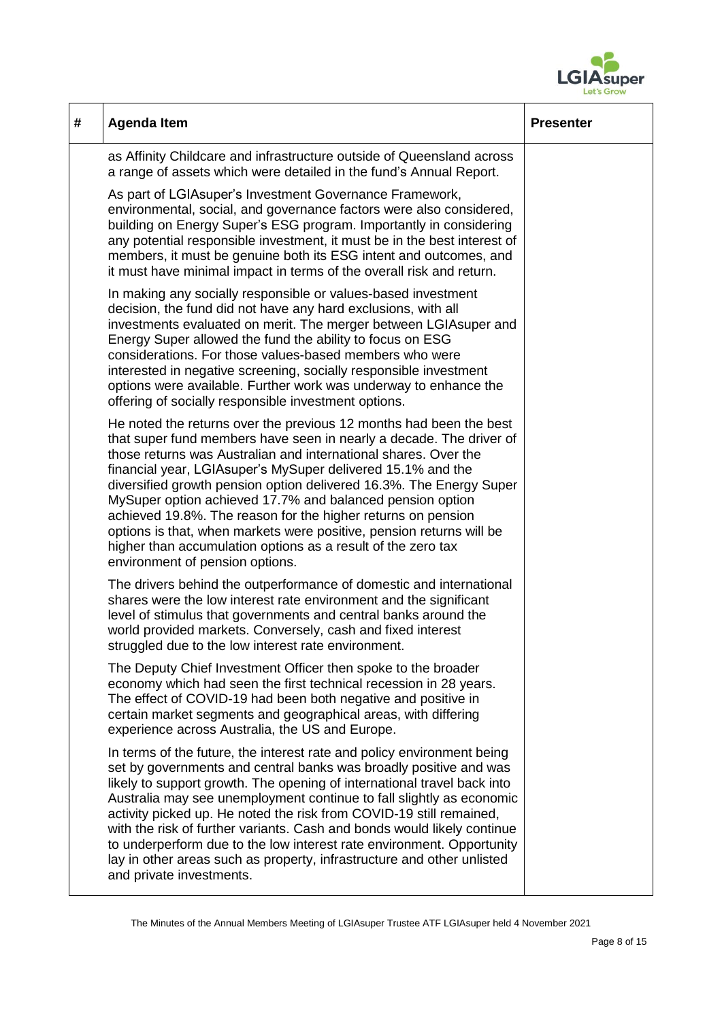

| # | <b>Agenda Item</b>                                                                                                                                                                                                                                                                                                                                                                                                                                                                                                                                                                                                                                          | <b>Presenter</b> |
|---|-------------------------------------------------------------------------------------------------------------------------------------------------------------------------------------------------------------------------------------------------------------------------------------------------------------------------------------------------------------------------------------------------------------------------------------------------------------------------------------------------------------------------------------------------------------------------------------------------------------------------------------------------------------|------------------|
|   | as Affinity Childcare and infrastructure outside of Queensland across<br>a range of assets which were detailed in the fund's Annual Report.                                                                                                                                                                                                                                                                                                                                                                                                                                                                                                                 |                  |
|   | As part of LGIAsuper's Investment Governance Framework,<br>environmental, social, and governance factors were also considered,<br>building on Energy Super's ESG program. Importantly in considering<br>any potential responsible investment, it must be in the best interest of<br>members, it must be genuine both its ESG intent and outcomes, and<br>it must have minimal impact in terms of the overall risk and return.                                                                                                                                                                                                                               |                  |
|   | In making any socially responsible or values-based investment<br>decision, the fund did not have any hard exclusions, with all<br>investments evaluated on merit. The merger between LGIAsuper and<br>Energy Super allowed the fund the ability to focus on ESG<br>considerations. For those values-based members who were<br>interested in negative screening, socially responsible investment<br>options were available. Further work was underway to enhance the<br>offering of socially responsible investment options.                                                                                                                                 |                  |
|   | He noted the returns over the previous 12 months had been the best<br>that super fund members have seen in nearly a decade. The driver of<br>those returns was Australian and international shares. Over the<br>financial year, LGIA super's MySuper delivered 15.1% and the<br>diversified growth pension option delivered 16.3%. The Energy Super<br>MySuper option achieved 17.7% and balanced pension option<br>achieved 19.8%. The reason for the higher returns on pension<br>options is that, when markets were positive, pension returns will be<br>higher than accumulation options as a result of the zero tax<br>environment of pension options. |                  |
|   | The drivers behind the outperformance of domestic and international<br>shares were the low interest rate environment and the significant<br>level of stimulus that governments and central banks around the<br>world provided markets. Conversely, cash and fixed interest<br>struggled due to the low interest rate environment.                                                                                                                                                                                                                                                                                                                           |                  |
|   | The Deputy Chief Investment Officer then spoke to the broader<br>economy which had seen the first technical recession in 28 years.<br>The effect of COVID-19 had been both negative and positive in<br>certain market segments and geographical areas, with differing<br>experience across Australia, the US and Europe.                                                                                                                                                                                                                                                                                                                                    |                  |
|   | In terms of the future, the interest rate and policy environment being<br>set by governments and central banks was broadly positive and was<br>likely to support growth. The opening of international travel back into<br>Australia may see unemployment continue to fall slightly as economic<br>activity picked up. He noted the risk from COVID-19 still remained,<br>with the risk of further variants. Cash and bonds would likely continue<br>to underperform due to the low interest rate environment. Opportunity<br>lay in other areas such as property, infrastructure and other unlisted<br>and private investments.                             |                  |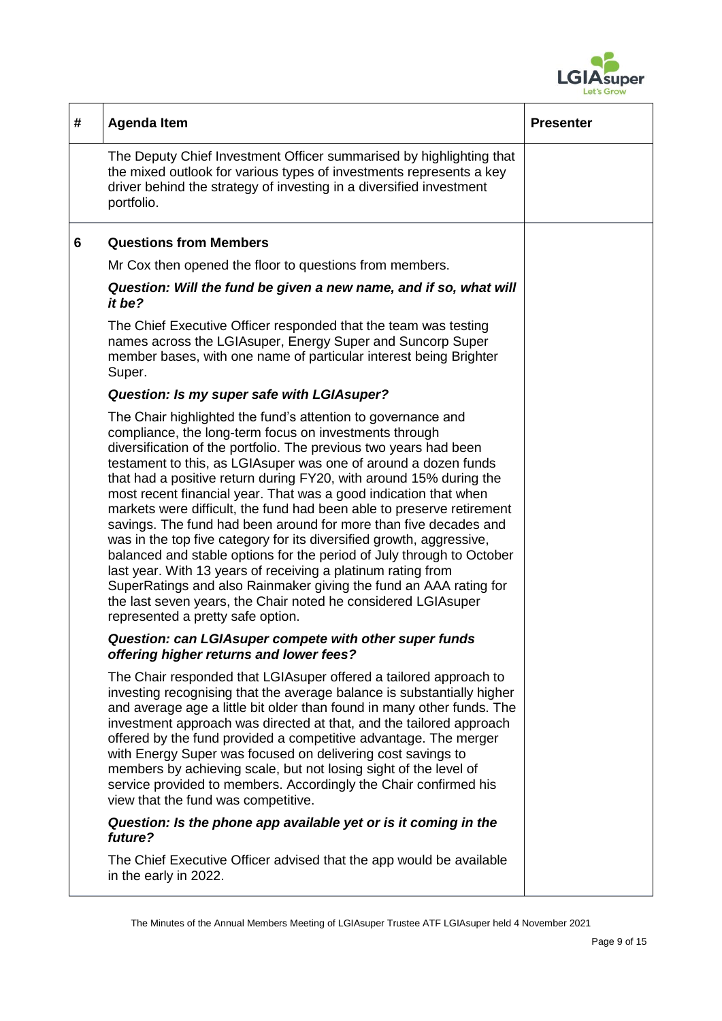

| # | <b>Agenda Item</b>                                                                                                                                                                                                                                                                                                                                                                                                                                                                                                                                                                                                                                                                                                                                                                                                                                                                                                                                  | <b>Presenter</b> |
|---|-----------------------------------------------------------------------------------------------------------------------------------------------------------------------------------------------------------------------------------------------------------------------------------------------------------------------------------------------------------------------------------------------------------------------------------------------------------------------------------------------------------------------------------------------------------------------------------------------------------------------------------------------------------------------------------------------------------------------------------------------------------------------------------------------------------------------------------------------------------------------------------------------------------------------------------------------------|------------------|
|   | The Deputy Chief Investment Officer summarised by highlighting that<br>the mixed outlook for various types of investments represents a key<br>driver behind the strategy of investing in a diversified investment<br>portfolio.                                                                                                                                                                                                                                                                                                                                                                                                                                                                                                                                                                                                                                                                                                                     |                  |
| 6 | <b>Questions from Members</b>                                                                                                                                                                                                                                                                                                                                                                                                                                                                                                                                                                                                                                                                                                                                                                                                                                                                                                                       |                  |
|   | Mr Cox then opened the floor to questions from members.                                                                                                                                                                                                                                                                                                                                                                                                                                                                                                                                                                                                                                                                                                                                                                                                                                                                                             |                  |
|   | Question: Will the fund be given a new name, and if so, what will<br>it be?                                                                                                                                                                                                                                                                                                                                                                                                                                                                                                                                                                                                                                                                                                                                                                                                                                                                         |                  |
|   | The Chief Executive Officer responded that the team was testing<br>names across the LGIAsuper, Energy Super and Suncorp Super<br>member bases, with one name of particular interest being Brighter<br>Super.                                                                                                                                                                                                                                                                                                                                                                                                                                                                                                                                                                                                                                                                                                                                        |                  |
|   | Question: Is my super safe with LGIAsuper?                                                                                                                                                                                                                                                                                                                                                                                                                                                                                                                                                                                                                                                                                                                                                                                                                                                                                                          |                  |
|   | The Chair highlighted the fund's attention to governance and<br>compliance, the long-term focus on investments through<br>diversification of the portfolio. The previous two years had been<br>testament to this, as LGIA super was one of around a dozen funds<br>that had a positive return during FY20, with around 15% during the<br>most recent financial year. That was a good indication that when<br>markets were difficult, the fund had been able to preserve retirement<br>savings. The fund had been around for more than five decades and<br>was in the top five category for its diversified growth, aggressive,<br>balanced and stable options for the period of July through to October<br>last year. With 13 years of receiving a platinum rating from<br>SuperRatings and also Rainmaker giving the fund an AAA rating for<br>the last seven years, the Chair noted he considered LGIA super<br>represented a pretty safe option. |                  |
|   | Question: can LGIAsuper compete with other super funds<br>offering higher returns and lower fees?                                                                                                                                                                                                                                                                                                                                                                                                                                                                                                                                                                                                                                                                                                                                                                                                                                                   |                  |
|   | The Chair responded that LGIA super offered a tailored approach to<br>investing recognising that the average balance is substantially higher<br>and average age a little bit older than found in many other funds. The<br>investment approach was directed at that, and the tailored approach<br>offered by the fund provided a competitive advantage. The merger<br>with Energy Super was focused on delivering cost savings to<br>members by achieving scale, but not losing sight of the level of<br>service provided to members. Accordingly the Chair confirmed his<br>view that the fund was competitive.                                                                                                                                                                                                                                                                                                                                     |                  |
|   | Question: Is the phone app available yet or is it coming in the<br>future?                                                                                                                                                                                                                                                                                                                                                                                                                                                                                                                                                                                                                                                                                                                                                                                                                                                                          |                  |
|   | The Chief Executive Officer advised that the app would be available<br>in the early in 2022.                                                                                                                                                                                                                                                                                                                                                                                                                                                                                                                                                                                                                                                                                                                                                                                                                                                        |                  |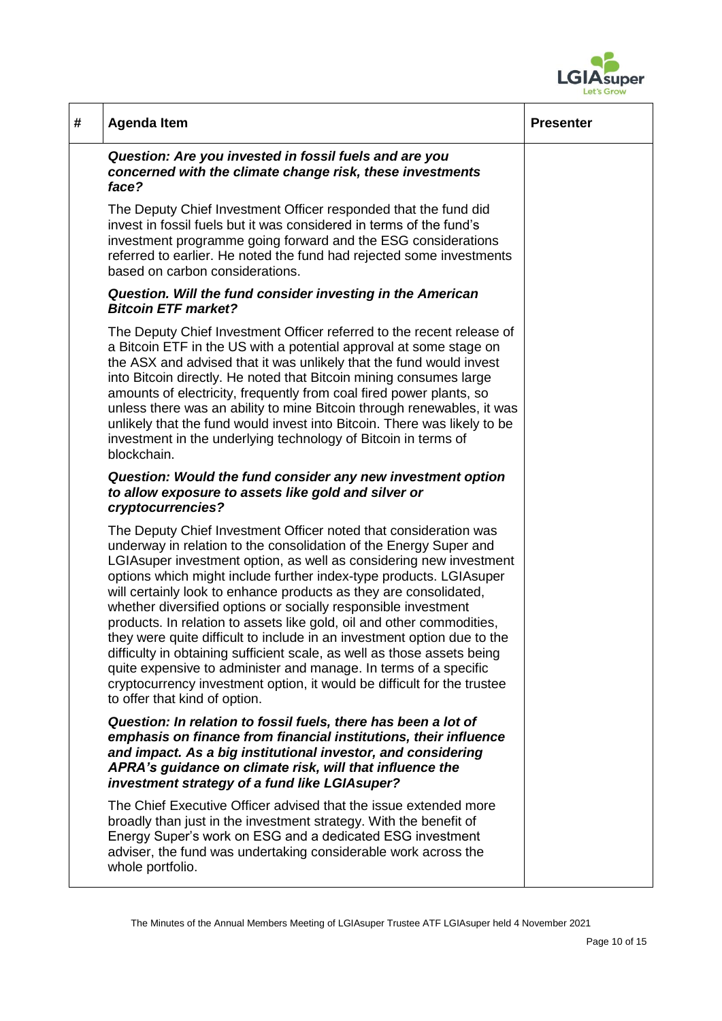

| # | <b>Agenda Item</b>                                                                                                                                                                                                                                                                                                                                                                                                                                                                                                                                                                                                                                                                                                                                                                                                                      | <b>Presenter</b> |
|---|-----------------------------------------------------------------------------------------------------------------------------------------------------------------------------------------------------------------------------------------------------------------------------------------------------------------------------------------------------------------------------------------------------------------------------------------------------------------------------------------------------------------------------------------------------------------------------------------------------------------------------------------------------------------------------------------------------------------------------------------------------------------------------------------------------------------------------------------|------------------|
|   | Question: Are you invested in fossil fuels and are you<br>concerned with the climate change risk, these investments<br>face?                                                                                                                                                                                                                                                                                                                                                                                                                                                                                                                                                                                                                                                                                                            |                  |
|   | The Deputy Chief Investment Officer responded that the fund did<br>invest in fossil fuels but it was considered in terms of the fund's<br>investment programme going forward and the ESG considerations<br>referred to earlier. He noted the fund had rejected some investments<br>based on carbon considerations.                                                                                                                                                                                                                                                                                                                                                                                                                                                                                                                      |                  |
|   | Question. Will the fund consider investing in the American<br><b>Bitcoin ETF market?</b>                                                                                                                                                                                                                                                                                                                                                                                                                                                                                                                                                                                                                                                                                                                                                |                  |
|   | The Deputy Chief Investment Officer referred to the recent release of<br>a Bitcoin ETF in the US with a potential approval at some stage on<br>the ASX and advised that it was unlikely that the fund would invest<br>into Bitcoin directly. He noted that Bitcoin mining consumes large<br>amounts of electricity, frequently from coal fired power plants, so<br>unless there was an ability to mine Bitcoin through renewables, it was<br>unlikely that the fund would invest into Bitcoin. There was likely to be<br>investment in the underlying technology of Bitcoin in terms of<br>blockchain.                                                                                                                                                                                                                                  |                  |
|   | Question: Would the fund consider any new investment option<br>to allow exposure to assets like gold and silver or<br>cryptocurrencies?                                                                                                                                                                                                                                                                                                                                                                                                                                                                                                                                                                                                                                                                                                 |                  |
|   | The Deputy Chief Investment Officer noted that consideration was<br>underway in relation to the consolidation of the Energy Super and<br>LGIAsuper investment option, as well as considering new investment<br>options which might include further index-type products. LGIAsuper<br>will certainly look to enhance products as they are consolidated,<br>whether diversified options or socially responsible investment<br>products. In relation to assets like gold, oil and other commodities,<br>they were quite difficult to include in an investment option due to the<br>difficulty in obtaining sufficient scale, as well as those assets being<br>quite expensive to administer and manage. In terms of a specific<br>cryptocurrency investment option, it would be difficult for the trustee<br>to offer that kind of option. |                  |
|   | Question: In relation to fossil fuels, there has been a lot of<br>emphasis on finance from financial institutions, their influence<br>and impact. As a big institutional investor, and considering<br>APRA's guidance on climate risk, will that influence the<br>investment strategy of a fund like LGIAsuper?                                                                                                                                                                                                                                                                                                                                                                                                                                                                                                                         |                  |
|   | The Chief Executive Officer advised that the issue extended more<br>broadly than just in the investment strategy. With the benefit of<br>Energy Super's work on ESG and a dedicated ESG investment<br>adviser, the fund was undertaking considerable work across the<br>whole portfolio.                                                                                                                                                                                                                                                                                                                                                                                                                                                                                                                                                |                  |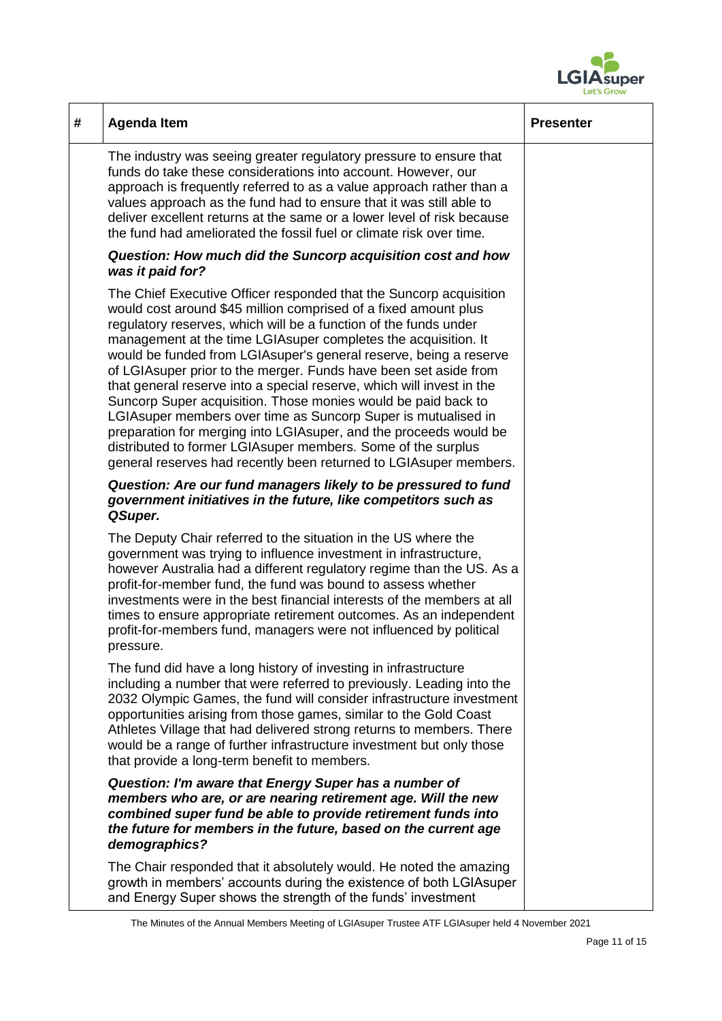

| # | <b>Agenda Item</b>                                                                                                                                                                                                                                                                                                                                                                                                                                                                                                                                                                                                                                                                                                                                                                                                                          | <b>Presenter</b> |
|---|---------------------------------------------------------------------------------------------------------------------------------------------------------------------------------------------------------------------------------------------------------------------------------------------------------------------------------------------------------------------------------------------------------------------------------------------------------------------------------------------------------------------------------------------------------------------------------------------------------------------------------------------------------------------------------------------------------------------------------------------------------------------------------------------------------------------------------------------|------------------|
|   | The industry was seeing greater regulatory pressure to ensure that<br>funds do take these considerations into account. However, our<br>approach is frequently referred to as a value approach rather than a<br>values approach as the fund had to ensure that it was still able to<br>deliver excellent returns at the same or a lower level of risk because<br>the fund had ameliorated the fossil fuel or climate risk over time.                                                                                                                                                                                                                                                                                                                                                                                                         |                  |
|   | Question: How much did the Suncorp acquisition cost and how<br>was it paid for?                                                                                                                                                                                                                                                                                                                                                                                                                                                                                                                                                                                                                                                                                                                                                             |                  |
|   | The Chief Executive Officer responded that the Suncorp acquisition<br>would cost around \$45 million comprised of a fixed amount plus<br>regulatory reserves, which will be a function of the funds under<br>management at the time LGIAsuper completes the acquisition. It<br>would be funded from LGIA super's general reserve, being a reserve<br>of LGIAsuper prior to the merger. Funds have been set aside from<br>that general reserve into a special reserve, which will invest in the<br>Suncorp Super acquisition. Those monies would be paid back to<br>LGIAsuper members over time as Suncorp Super is mutualised in<br>preparation for merging into LGIAsuper, and the proceeds would be<br>distributed to former LGIAsuper members. Some of the surplus<br>general reserves had recently been returned to LGIA super members. |                  |
|   | Question: Are our fund managers likely to be pressured to fund<br>government initiatives in the future, like competitors such as<br>QSuper.                                                                                                                                                                                                                                                                                                                                                                                                                                                                                                                                                                                                                                                                                                 |                  |
|   | The Deputy Chair referred to the situation in the US where the<br>government was trying to influence investment in infrastructure,<br>however Australia had a different regulatory regime than the US. As a<br>profit-for-member fund, the fund was bound to assess whether<br>investments were in the best financial interests of the members at all<br>times to ensure appropriate retirement outcomes. As an independent<br>profit-for-members fund, managers were not influenced by political<br>pressure.                                                                                                                                                                                                                                                                                                                              |                  |
|   | The fund did have a long history of investing in infrastructure<br>including a number that were referred to previously. Leading into the<br>2032 Olympic Games, the fund will consider infrastructure investment<br>opportunities arising from those games, similar to the Gold Coast<br>Athletes Village that had delivered strong returns to members. There<br>would be a range of further infrastructure investment but only those<br>that provide a long-term benefit to members.                                                                                                                                                                                                                                                                                                                                                       |                  |
|   | Question: I'm aware that Energy Super has a number of<br>members who are, or are nearing retirement age. Will the new<br>combined super fund be able to provide retirement funds into<br>the future for members in the future, based on the current age<br>demographics?                                                                                                                                                                                                                                                                                                                                                                                                                                                                                                                                                                    |                  |
|   | The Chair responded that it absolutely would. He noted the amazing<br>growth in members' accounts during the existence of both LGIAsuper<br>and Energy Super shows the strength of the funds' investment                                                                                                                                                                                                                                                                                                                                                                                                                                                                                                                                                                                                                                    |                  |

The Minutes of the Annual Members Meeting of LGIAsuper Trustee ATF LGIAsuper held 4 November 2021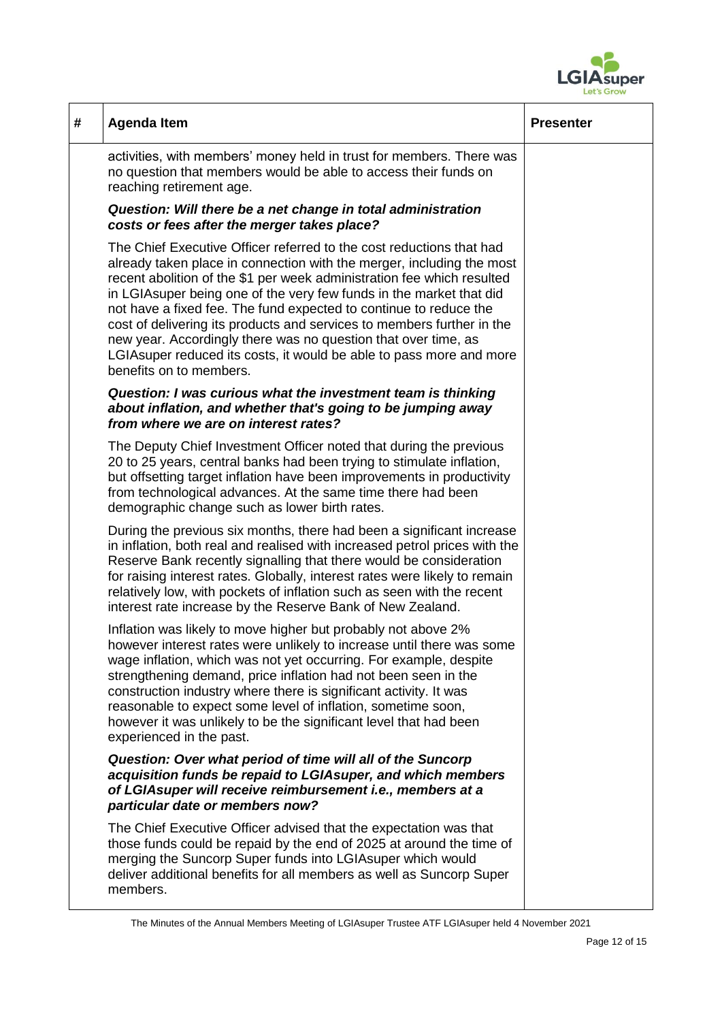

| # | <b>Agenda Item</b>                                                                                                                                                                                                                                                                                                                                                                                                                                                                                                                                                                                                  | <b>Presenter</b> |
|---|---------------------------------------------------------------------------------------------------------------------------------------------------------------------------------------------------------------------------------------------------------------------------------------------------------------------------------------------------------------------------------------------------------------------------------------------------------------------------------------------------------------------------------------------------------------------------------------------------------------------|------------------|
|   | activities, with members' money held in trust for members. There was<br>no question that members would be able to access their funds on<br>reaching retirement age.                                                                                                                                                                                                                                                                                                                                                                                                                                                 |                  |
|   | Question: Will there be a net change in total administration<br>costs or fees after the merger takes place?                                                                                                                                                                                                                                                                                                                                                                                                                                                                                                         |                  |
|   | The Chief Executive Officer referred to the cost reductions that had<br>already taken place in connection with the merger, including the most<br>recent abolition of the \$1 per week administration fee which resulted<br>in LGIA super being one of the very few funds in the market that did<br>not have a fixed fee. The fund expected to continue to reduce the<br>cost of delivering its products and services to members further in the<br>new year. Accordingly there was no question that over time, as<br>LGIA super reduced its costs, it would be able to pass more and more<br>benefits on to members. |                  |
|   | Question: I was curious what the investment team is thinking<br>about inflation, and whether that's going to be jumping away<br>from where we are on interest rates?                                                                                                                                                                                                                                                                                                                                                                                                                                                |                  |
|   | The Deputy Chief Investment Officer noted that during the previous<br>20 to 25 years, central banks had been trying to stimulate inflation,<br>but offsetting target inflation have been improvements in productivity<br>from technological advances. At the same time there had been<br>demographic change such as lower birth rates.                                                                                                                                                                                                                                                                              |                  |
|   | During the previous six months, there had been a significant increase<br>in inflation, both real and realised with increased petrol prices with the<br>Reserve Bank recently signalling that there would be consideration<br>for raising interest rates. Globally, interest rates were likely to remain<br>relatively low, with pockets of inflation such as seen with the recent<br>interest rate increase by the Reserve Bank of New Zealand.                                                                                                                                                                     |                  |
|   | Inflation was likely to move higher but probably not above 2%<br>however interest rates were unlikely to increase until there was some<br>wage inflation, which was not yet occurring. For example, despite<br>strengthening demand, price inflation had not been seen in the<br>construction industry where there is significant activity. It was<br>reasonable to expect some level of inflation, sometime soon,<br>however it was unlikely to be the significant level that had been<br>experienced in the past.                                                                                                 |                  |
|   | Question: Over what period of time will all of the Suncorp<br>acquisition funds be repaid to LGIAsuper, and which members<br>of LGIAsuper will receive reimbursement i.e., members at a<br>particular date or members now?                                                                                                                                                                                                                                                                                                                                                                                          |                  |
|   | The Chief Executive Officer advised that the expectation was that<br>those funds could be repaid by the end of 2025 at around the time of<br>merging the Suncorp Super funds into LGIAsuper which would<br>deliver additional benefits for all members as well as Suncorp Super<br>members.                                                                                                                                                                                                                                                                                                                         |                  |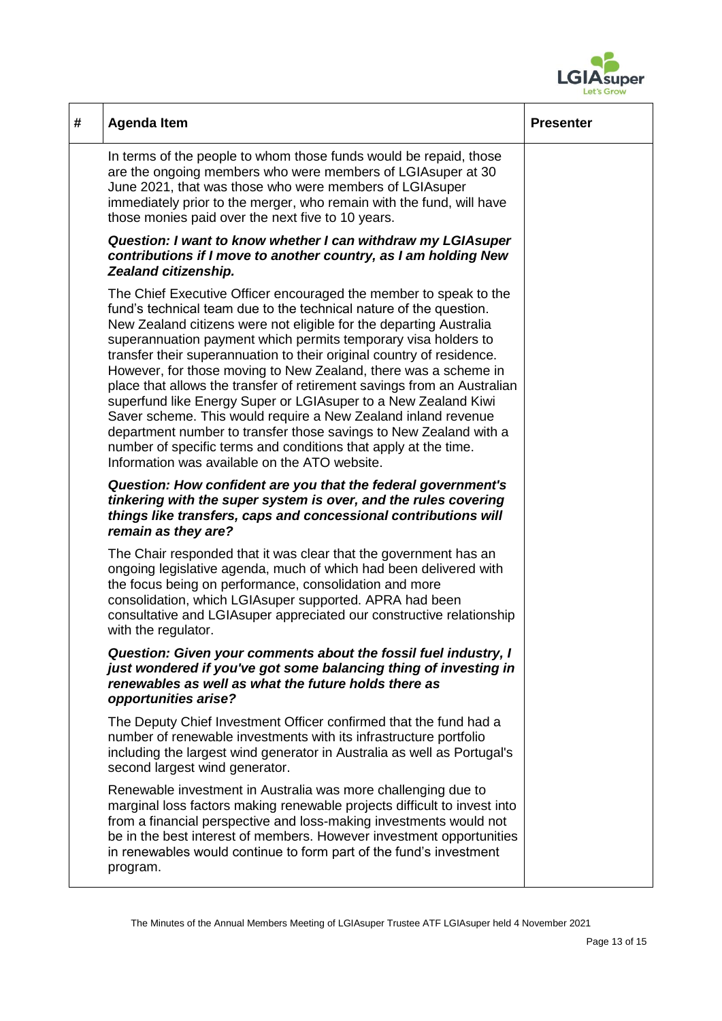

| # | <b>Agenda Item</b>                                                                                                                                                                                                                                                                                                                                                                                                                                                                                                                                                                                                                                                                                                                                                                                                                 | <b>Presenter</b> |
|---|------------------------------------------------------------------------------------------------------------------------------------------------------------------------------------------------------------------------------------------------------------------------------------------------------------------------------------------------------------------------------------------------------------------------------------------------------------------------------------------------------------------------------------------------------------------------------------------------------------------------------------------------------------------------------------------------------------------------------------------------------------------------------------------------------------------------------------|------------------|
|   | In terms of the people to whom those funds would be repaid, those<br>are the ongoing members who were members of LGIA super at 30<br>June 2021, that was those who were members of LGIA super<br>immediately prior to the merger, who remain with the fund, will have<br>those monies paid over the next five to 10 years.                                                                                                                                                                                                                                                                                                                                                                                                                                                                                                         |                  |
|   | Question: I want to know whether I can withdraw my LGIAsuper<br>contributions if I move to another country, as I am holding New<br>Zealand citizenship.                                                                                                                                                                                                                                                                                                                                                                                                                                                                                                                                                                                                                                                                            |                  |
|   | The Chief Executive Officer encouraged the member to speak to the<br>fund's technical team due to the technical nature of the question.<br>New Zealand citizens were not eligible for the departing Australia<br>superannuation payment which permits temporary visa holders to<br>transfer their superannuation to their original country of residence.<br>However, for those moving to New Zealand, there was a scheme in<br>place that allows the transfer of retirement savings from an Australian<br>superfund like Energy Super or LGIAsuper to a New Zealand Kiwi<br>Saver scheme. This would require a New Zealand inland revenue<br>department number to transfer those savings to New Zealand with a<br>number of specific terms and conditions that apply at the time.<br>Information was available on the ATO website. |                  |
|   | Question: How confident are you that the federal government's<br>tinkering with the super system is over, and the rules covering<br>things like transfers, caps and concessional contributions will<br>remain as they are?                                                                                                                                                                                                                                                                                                                                                                                                                                                                                                                                                                                                         |                  |
|   | The Chair responded that it was clear that the government has an<br>ongoing legislative agenda, much of which had been delivered with<br>the focus being on performance, consolidation and more<br>consolidation, which LGIAsuper supported. APRA had been<br>consultative and LGIAsuper appreciated our constructive relationship<br>with the regulator.                                                                                                                                                                                                                                                                                                                                                                                                                                                                          |                  |
|   | Question: Given your comments about the fossil fuel industry, I<br>just wondered if you've got some balancing thing of investing in<br>renewables as well as what the future holds there as<br>opportunities arise?                                                                                                                                                                                                                                                                                                                                                                                                                                                                                                                                                                                                                |                  |
|   | The Deputy Chief Investment Officer confirmed that the fund had a<br>number of renewable investments with its infrastructure portfolio<br>including the largest wind generator in Australia as well as Portugal's<br>second largest wind generator.                                                                                                                                                                                                                                                                                                                                                                                                                                                                                                                                                                                |                  |
|   | Renewable investment in Australia was more challenging due to<br>marginal loss factors making renewable projects difficult to invest into<br>from a financial perspective and loss-making investments would not<br>be in the best interest of members. However investment opportunities<br>in renewables would continue to form part of the fund's investment<br>program.                                                                                                                                                                                                                                                                                                                                                                                                                                                          |                  |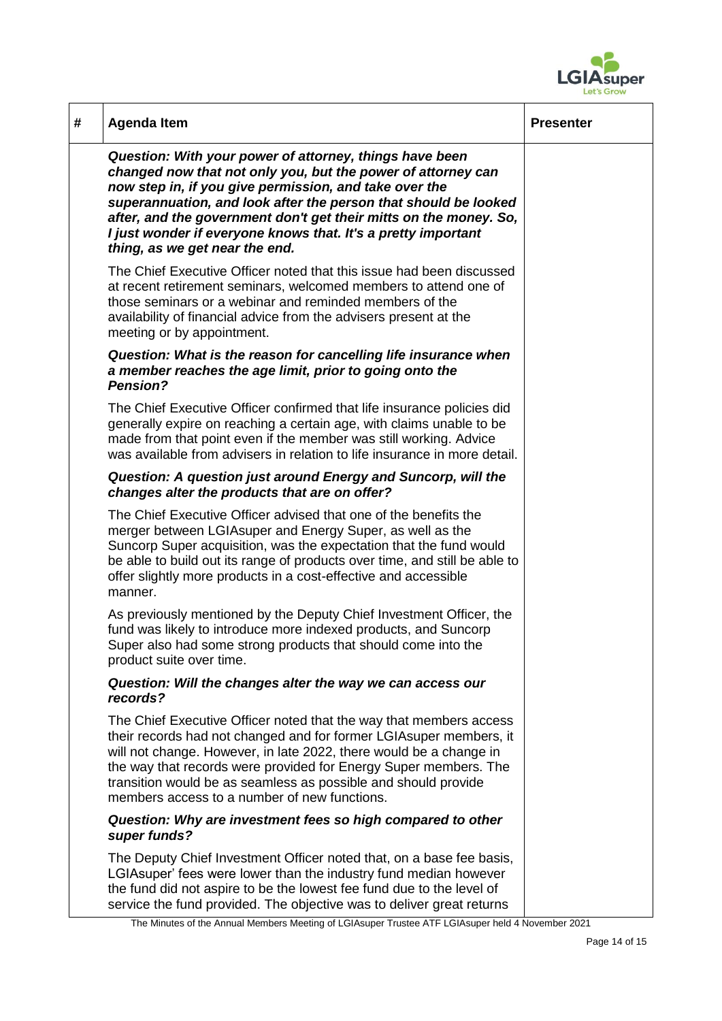

| # | <b>Agenda Item</b>                                                                                                                                                                                                                                                                                                                                                                                                           | <b>Presenter</b> |
|---|------------------------------------------------------------------------------------------------------------------------------------------------------------------------------------------------------------------------------------------------------------------------------------------------------------------------------------------------------------------------------------------------------------------------------|------------------|
|   | Question: With your power of attorney, things have been<br>changed now that not only you, but the power of attorney can<br>now step in, if you give permission, and take over the<br>superannuation, and look after the person that should be looked<br>after, and the government don't get their mitts on the money. So,<br>I just wonder if everyone knows that. It's a pretty important<br>thing, as we get near the end. |                  |
|   | The Chief Executive Officer noted that this issue had been discussed<br>at recent retirement seminars, welcomed members to attend one of<br>those seminars or a webinar and reminded members of the<br>availability of financial advice from the advisers present at the<br>meeting or by appointment.                                                                                                                       |                  |
|   | Question: What is the reason for cancelling life insurance when<br>a member reaches the age limit, prior to going onto the<br><b>Pension?</b>                                                                                                                                                                                                                                                                                |                  |
|   | The Chief Executive Officer confirmed that life insurance policies did<br>generally expire on reaching a certain age, with claims unable to be<br>made from that point even if the member was still working. Advice<br>was available from advisers in relation to life insurance in more detail.                                                                                                                             |                  |
|   | Question: A question just around Energy and Suncorp, will the<br>changes alter the products that are on offer?                                                                                                                                                                                                                                                                                                               |                  |
|   | The Chief Executive Officer advised that one of the benefits the<br>merger between LGIAsuper and Energy Super, as well as the<br>Suncorp Super acquisition, was the expectation that the fund would<br>be able to build out its range of products over time, and still be able to<br>offer slightly more products in a cost-effective and accessible<br>manner.                                                              |                  |
|   | As previously mentioned by the Deputy Chief Investment Officer, the<br>fund was likely to introduce more indexed products, and Suncorp<br>Super also had some strong products that should come into the<br>product suite over time.                                                                                                                                                                                          |                  |
|   | Question: Will the changes alter the way we can access our<br>records?                                                                                                                                                                                                                                                                                                                                                       |                  |
|   | The Chief Executive Officer noted that the way that members access<br>their records had not changed and for former LGIA super members, it<br>will not change. However, in late 2022, there would be a change in<br>the way that records were provided for Energy Super members. The<br>transition would be as seamless as possible and should provide<br>members access to a number of new functions.                        |                  |
|   | Question: Why are investment fees so high compared to other<br>super funds?                                                                                                                                                                                                                                                                                                                                                  |                  |
|   | The Deputy Chief Investment Officer noted that, on a base fee basis,<br>LGIA super' fees were lower than the industry fund median however<br>the fund did not aspire to be the lowest fee fund due to the level of<br>service the fund provided. The objective was to deliver great returns                                                                                                                                  |                  |